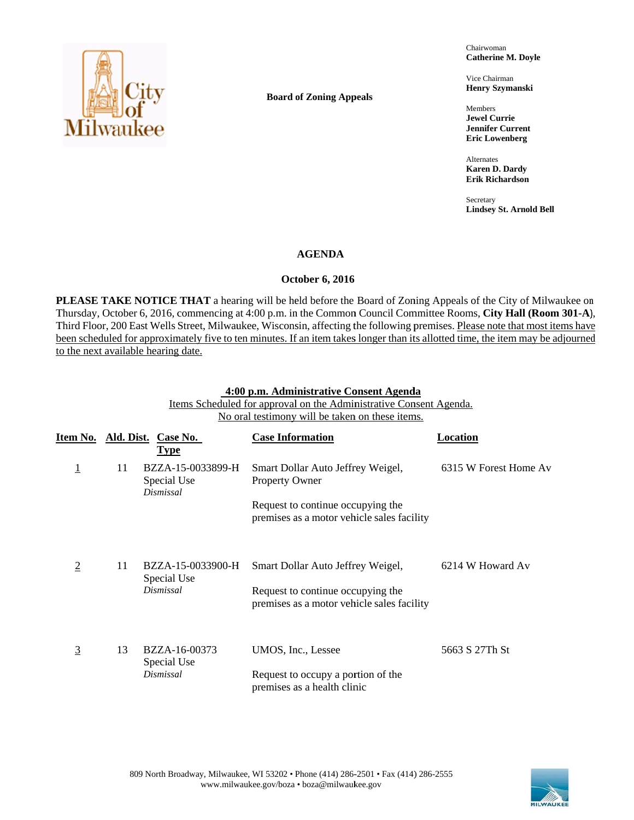

**Board of Zoning Appeals** 

Ch hairwoman **Catherine M. Doyle** 

Vi ice Chairman **He enry Szymanski**

Members **Je ewel Currie Je ennifer Current Er ric Lowenberg** 

**Alternates Ka aren D. Dardy Er rik Richardson**

**Secretary Li indsey St. Arnol** i<br>**id Bell**<br><sup>ld Bell</sup>

## **AGENDA**

## **October 6, 2016**

PLEASE TAKE NOTICE THAT a hearing will be held before the Board of Zoning Appeals of the City of Milwaukee on Thursday, October 6, 2016, commencing at 4:00 p.m. in the Common Council Committee Rooms, City Hall (Room 301-A), Third Floor, 200 East Wells Street, Milwaukee, Wisconsin, affecting the following premises. Please note that most items have been scheduled for approximately five to ten minutes. If an item takes longer than its allotted time, the item may be adjourned to the next available hearing date.

### **4:00 p.m. Administrative Consent Agenda**

Items Scheduled for approval on the Administrative Consent Agenda. No oral testimony will be taken on these items.

| Item No.       |    | Ald. Dist. Case No.<br><b>Type</b>            | <b>Case Information</b>                                                         | Location              |
|----------------|----|-----------------------------------------------|---------------------------------------------------------------------------------|-----------------------|
| $\overline{1}$ | 11 | BZZA-15-0033899-H<br>Special Use<br>Dismissal | Smart Dollar Auto Jeffrey Weigel,<br>Property Owner                             | 6315 W Forest Home Av |
|                |    |                                               | Request to continue occupying the<br>premises as a motor vehicle sales facility |                       |
| $\overline{2}$ | 11 | BZZA-15-0033900-H<br>Special Use              | Smart Dollar Auto Jeffrey Weigel,                                               | 6214 W Howard Av      |
|                |    | Dismissal                                     | Request to continue occupying the<br>premises as a motor vehicle sales facility |                       |
| <u>3</u>       | 13 | BZZA-16-00373<br>Special Use                  | UMOS, Inc., Lessee                                                              | 5663 S 27Th St        |
|                |    | Dismissal                                     | Request to occupy a portion of the<br>premises as a health clinic               |                       |

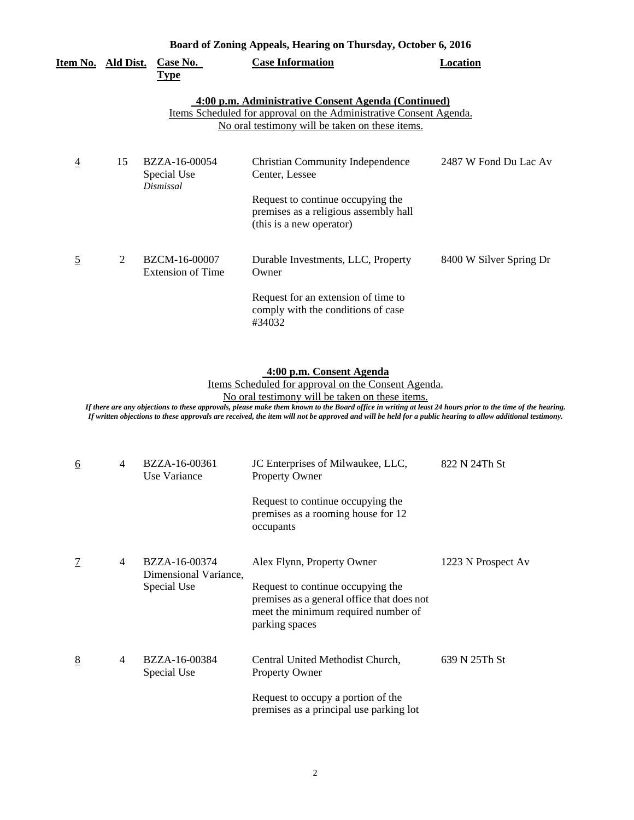| Board of Zoning Appeals, Hearing on Thursday, October 6, 2016 |    |                                           |                                                                                                                                                                              |                         |  |
|---------------------------------------------------------------|----|-------------------------------------------|------------------------------------------------------------------------------------------------------------------------------------------------------------------------------|-------------------------|--|
| <u>Item No. Ald Dist.</u>                                     |    | Case No.<br><b>Type</b>                   | <b>Case Information</b>                                                                                                                                                      | <b>Location</b>         |  |
|                                                               |    |                                           | 4:00 p.m. Administrative Consent Agenda (Continued)<br>Items Scheduled for approval on the Administrative Consent Agenda.<br>No oral testimony will be taken on these items. |                         |  |
| $\overline{4}$                                                | 15 | BZZA-16-00054<br>Special Use<br>Dismissal | <b>Christian Community Independence</b><br>Center, Lessee<br>Request to continue occupying the                                                                               | 2487 W Fond Du Lac Av   |  |
|                                                               |    |                                           | premises as a religious assembly hall<br>(this is a new operator)                                                                                                            |                         |  |
| $\overline{5}$                                                | 2  | BZCM-16-00007<br><b>Extension of Time</b> | Durable Investments, LLC, Property<br>Owner                                                                                                                                  | 8400 W Silver Spring Dr |  |
|                                                               |    |                                           | Request for an extension of time to<br>comply with the conditions of case<br>#34032                                                                                          |                         |  |

#### **4:00 p.m. Consent Agenda**

Items Scheduled for approval on the Consent Agenda.

No oral testimony will be taken on these items.

*If there are any objections to these approvals, please make them known to the Board office in writing at least 24 hours prior to the time of the hearing. If written objections to these approvals are received, the item will not be approved and will be held for a public hearing to allow additional testimony.* 

| <u>6</u><br>4  |   | BZZA-16-00361<br>Use Variance          | JC Enterprises of Milwaukee, LLC,<br>822 N 24Th St<br>Property Owner                                                                     |                    |  |
|----------------|---|----------------------------------------|------------------------------------------------------------------------------------------------------------------------------------------|--------------------|--|
|                |   |                                        | Request to continue occupying the<br>premises as a rooming house for 12<br>occupants                                                     |                    |  |
| $\overline{1}$ | 4 | BZZA-16-00374<br>Dimensional Variance, | Alex Flynn, Property Owner                                                                                                               | 1223 N Prospect Av |  |
|                |   | Special Use                            | Request to continue occupying the<br>premises as a general office that does not<br>meet the minimum required number of<br>parking spaces |                    |  |
| 8              | 4 | BZZA-16-00384<br>Special Use           | Central United Methodist Church,<br>Property Owner                                                                                       | 639 N 25Th St      |  |
|                |   |                                        | Request to occupy a portion of the<br>premises as a principal use parking lot                                                            |                    |  |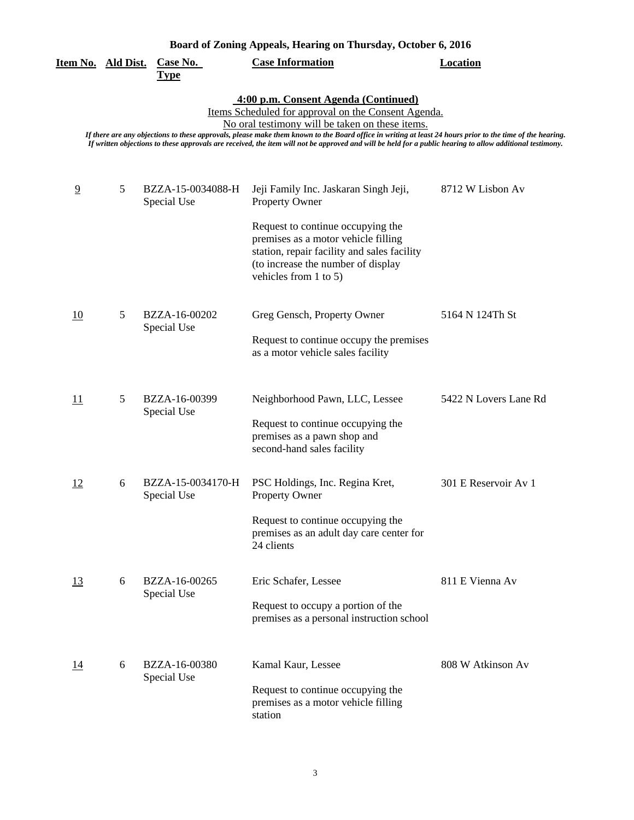# **Board of Zoning Appeals, Hearing on Thursday, October 6, 2016**

| Item No. Ald Dist. |   | Case No.<br><u>Type</u>          | <b>Case Information</b>                                                                                                                                                                                                                                                                                                                                                                                                                                                  | <b>Location</b>       |
|--------------------|---|----------------------------------|--------------------------------------------------------------------------------------------------------------------------------------------------------------------------------------------------------------------------------------------------------------------------------------------------------------------------------------------------------------------------------------------------------------------------------------------------------------------------|-----------------------|
|                    |   |                                  | 4:00 p.m. Consent Agenda (Continued)<br>Items Scheduled for approval on the Consent Agenda.<br>No oral testimony will be taken on these items.<br>If there are any objections to these approvals, please make them known to the Board office in writing at least 24 hours prior to the time of the hearing.<br>If written objections to these approvals are received, the item will not be approved and will be held for a public hearing to allow additional testimony. |                       |
| $\overline{9}$     | 5 | BZZA-15-0034088-H<br>Special Use | Jeji Family Inc. Jaskaran Singh Jeji,<br>Property Owner<br>Request to continue occupying the<br>premises as a motor vehicle filling<br>station, repair facility and sales facility<br>(to increase the number of display<br>vehicles from $1$ to $5$ )                                                                                                                                                                                                                   | 8712 W Lisbon Av      |
| 10                 | 5 | BZZA-16-00202<br>Special Use     | Greg Gensch, Property Owner<br>Request to continue occupy the premises<br>as a motor vehicle sales facility                                                                                                                                                                                                                                                                                                                                                              | 5164 N 124Th St       |
| 11                 | 5 | BZZA-16-00399<br>Special Use     | Neighborhood Pawn, LLC, Lessee<br>Request to continue occupying the<br>premises as a pawn shop and<br>second-hand sales facility                                                                                                                                                                                                                                                                                                                                         | 5422 N Lovers Lane Rd |
| 12                 | 6 | BZZA-15-0034170-H<br>Special Use | PSC Holdings, Inc. Regina Kret,<br>Property Owner<br>Request to continue occupying the<br>premises as an adult day care center for<br>24 clients                                                                                                                                                                                                                                                                                                                         | 301 E Reservoir Av 1  |
| <u>13</u>          | 6 | BZZA-16-00265<br>Special Use     | Eric Schafer, Lessee<br>Request to occupy a portion of the<br>premises as a personal instruction school                                                                                                                                                                                                                                                                                                                                                                  | 811 E Vienna Av       |
| 14                 | 6 | BZZA-16-00380<br>Special Use     | Kamal Kaur, Lessee<br>Request to continue occupying the<br>premises as a motor vehicle filling<br>station                                                                                                                                                                                                                                                                                                                                                                | 808 W Atkinson Av     |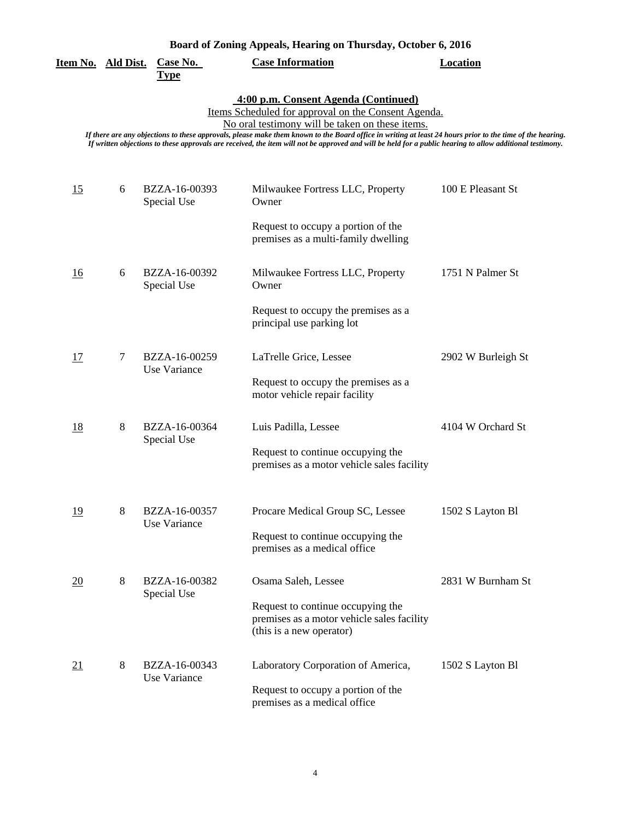| Item No. Ald Dist.                                                                                                                                                                                                                                                                                                                                                                                                                                                       |   | <b>Case No.</b><br><b>Type</b> | <b>Case Information</b>                                                                                     | <b>Location</b>    |  |  |
|--------------------------------------------------------------------------------------------------------------------------------------------------------------------------------------------------------------------------------------------------------------------------------------------------------------------------------------------------------------------------------------------------------------------------------------------------------------------------|---|--------------------------------|-------------------------------------------------------------------------------------------------------------|--------------------|--|--|
| 4:00 p.m. Consent Agenda (Continued)<br>Items Scheduled for approval on the Consent Agenda.<br>No oral testimony will be taken on these items.<br>If there are any objections to these approvals, please make them known to the Board office in writing at least 24 hours prior to the time of the hearing.<br>If written objections to these approvals are received, the item will not be approved and will be held for a public hearing to allow additional testimony. |   |                                |                                                                                                             |                    |  |  |
| 15                                                                                                                                                                                                                                                                                                                                                                                                                                                                       | 6 | BZZA-16-00393<br>Special Use   | Milwaukee Fortress LLC, Property<br>Owner<br>Request to occupy a portion of the                             | 100 E Pleasant St  |  |  |
|                                                                                                                                                                                                                                                                                                                                                                                                                                                                          |   |                                | premises as a multi-family dwelling                                                                         |                    |  |  |
| 16                                                                                                                                                                                                                                                                                                                                                                                                                                                                       | 6 | BZZA-16-00392<br>Special Use   | Milwaukee Fortress LLC, Property<br>Owner                                                                   | 1751 N Palmer St   |  |  |
|                                                                                                                                                                                                                                                                                                                                                                                                                                                                          |   |                                | Request to occupy the premises as a<br>principal use parking lot                                            |                    |  |  |
| 17                                                                                                                                                                                                                                                                                                                                                                                                                                                                       | 7 | BZZA-16-00259<br>Use Variance  | LaTrelle Grice, Lessee                                                                                      | 2902 W Burleigh St |  |  |
|                                                                                                                                                                                                                                                                                                                                                                                                                                                                          |   |                                | Request to occupy the premises as a<br>motor vehicle repair facility                                        |                    |  |  |
| <u>18</u>                                                                                                                                                                                                                                                                                                                                                                                                                                                                | 8 | BZZA-16-00364<br>Special Use   | Luis Padilla, Lessee                                                                                        | 4104 W Orchard St  |  |  |
|                                                                                                                                                                                                                                                                                                                                                                                                                                                                          |   |                                | Request to continue occupying the<br>premises as a motor vehicle sales facility                             |                    |  |  |
| <u>19</u>                                                                                                                                                                                                                                                                                                                                                                                                                                                                | 8 | BZZA-16-00357<br>Use Variance  | Procare Medical Group SC, Lessee                                                                            | 1502 S Layton Bl   |  |  |
|                                                                                                                                                                                                                                                                                                                                                                                                                                                                          |   |                                | Request to continue occupying the<br>premises as a medical office                                           |                    |  |  |
| 20                                                                                                                                                                                                                                                                                                                                                                                                                                                                       | 8 | BZZA-16-00382<br>Special Use   | Osama Saleh, Lessee                                                                                         | 2831 W Burnham St  |  |  |
|                                                                                                                                                                                                                                                                                                                                                                                                                                                                          |   |                                | Request to continue occupying the<br>premises as a motor vehicle sales facility<br>(this is a new operator) |                    |  |  |
| 21                                                                                                                                                                                                                                                                                                                                                                                                                                                                       | 8 | BZZA-16-00343<br>Use Variance  | Laboratory Corporation of America,                                                                          | 1502 S Layton Bl   |  |  |
|                                                                                                                                                                                                                                                                                                                                                                                                                                                                          |   |                                | Request to occupy a portion of the<br>premises as a medical office                                          |                    |  |  |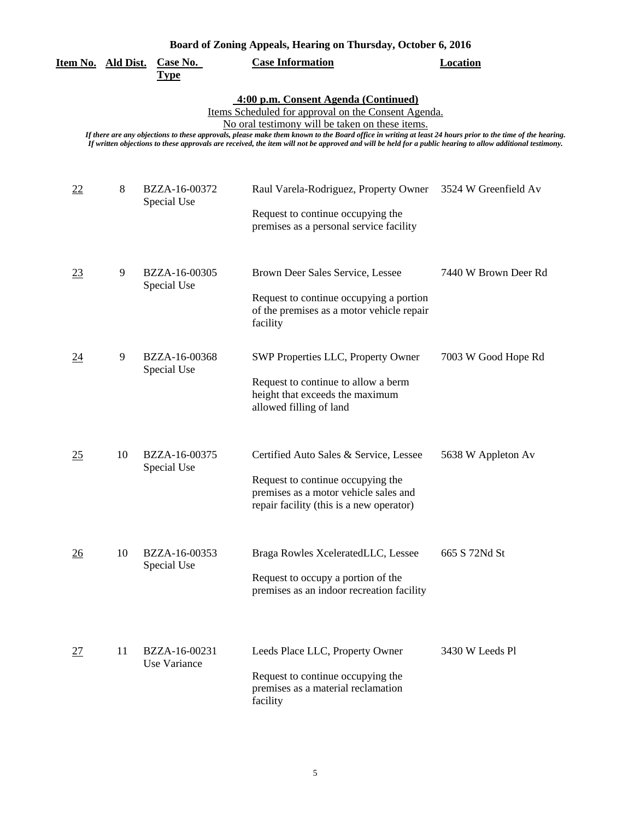| Board of Zoning Appeals, Hearing on Thursday, October 6, 2016 |  |  |  |
|---------------------------------------------------------------|--|--|--|
|                                                               |  |  |  |

| Item No. Ald Dist. |                                                                                                                                                                                                                                                                                                                                                                                                                                                                          | Case No.<br><b>Type</b>       | Doard or Zoning Appears, frearing on Thursuay, October 0, 2010<br><b>Case Information</b>                                                                        | Location             |  |  |  |
|--------------------|--------------------------------------------------------------------------------------------------------------------------------------------------------------------------------------------------------------------------------------------------------------------------------------------------------------------------------------------------------------------------------------------------------------------------------------------------------------------------|-------------------------------|------------------------------------------------------------------------------------------------------------------------------------------------------------------|----------------------|--|--|--|
|                    | 4:00 p.m. Consent Agenda (Continued)<br>Items Scheduled for approval on the Consent Agenda.<br>No oral testimony will be taken on these items.<br>If there are any objections to these approvals, please make them known to the Board office in writing at least 24 hours prior to the time of the hearing.<br>If written objections to these approvals are received, the item will not be approved and will be held for a public hearing to allow additional testimony. |                               |                                                                                                                                                                  |                      |  |  |  |
| $\frac{22}{2}$     | 8                                                                                                                                                                                                                                                                                                                                                                                                                                                                        | BZZA-16-00372<br>Special Use  | Raul Varela-Rodriguez, Property Owner<br>Request to continue occupying the<br>premises as a personal service facility                                            | 3524 W Greenfield Av |  |  |  |
| 23                 | 9                                                                                                                                                                                                                                                                                                                                                                                                                                                                        | BZZA-16-00305<br>Special Use  | Brown Deer Sales Service, Lessee<br>Request to continue occupying a portion<br>of the premises as a motor vehicle repair<br>facility                             | 7440 W Brown Deer Rd |  |  |  |
| 24                 | 9                                                                                                                                                                                                                                                                                                                                                                                                                                                                        | BZZA-16-00368<br>Special Use  | SWP Properties LLC, Property Owner<br>Request to continue to allow a berm<br>height that exceeds the maximum<br>allowed filling of land                          | 7003 W Good Hope Rd  |  |  |  |
| 25                 | 10                                                                                                                                                                                                                                                                                                                                                                                                                                                                       | BZZA-16-00375<br>Special Use  | Certified Auto Sales & Service, Lessee<br>Request to continue occupying the<br>premises as a motor vehicle sales and<br>repair facility (this is a new operator) | 5638 W Appleton Av   |  |  |  |
| 26                 | 10                                                                                                                                                                                                                                                                                                                                                                                                                                                                       | BZZA-16-00353<br>Special Use  | Braga Rowles XceleratedLLC, Lessee<br>Request to occupy a portion of the<br>premises as an indoor recreation facility                                            | 665 S 72Nd St        |  |  |  |
| 27                 | 11                                                                                                                                                                                                                                                                                                                                                                                                                                                                       | BZZA-16-00231<br>Use Variance | Leeds Place LLC, Property Owner<br>Request to continue occupying the<br>premises as a material reclamation<br>facility                                           | 3430 W Leeds Pl      |  |  |  |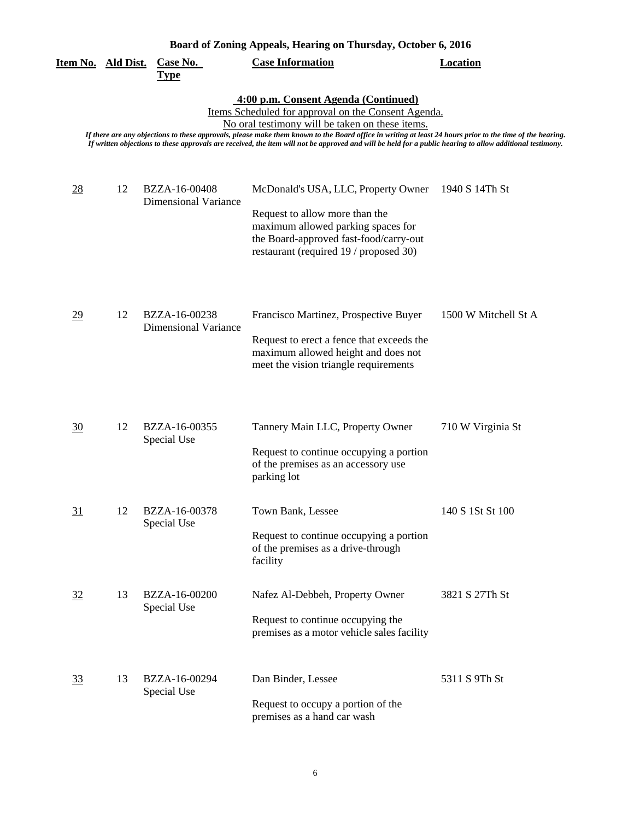|                           |    |                                              | Board of Zoning Appeals, Hearing on Thursday, October 6, 2016                                                                                                                                                                                                                                                                                                                                                                                                            |                      |
|---------------------------|----|----------------------------------------------|--------------------------------------------------------------------------------------------------------------------------------------------------------------------------------------------------------------------------------------------------------------------------------------------------------------------------------------------------------------------------------------------------------------------------------------------------------------------------|----------------------|
| <u>Item No. Ald Dist.</u> |    | Case No.<br><b>Type</b>                      | <b>Case Information</b>                                                                                                                                                                                                                                                                                                                                                                                                                                                  | <b>Location</b>      |
|                           |    |                                              | 4:00 p.m. Consent Agenda (Continued)<br>Items Scheduled for approval on the Consent Agenda.<br>No oral testimony will be taken on these items.<br>If there are any objections to these approvals, please make them known to the Board office in writing at least 24 hours prior to the time of the hearing.<br>If written objections to these approvals are received, the item will not be approved and will be held for a public hearing to allow additional testimony. |                      |
| 28                        | 12 | BZZA-16-00408<br>Dimensional Variance        | McDonald's USA, LLC, Property Owner<br>Request to allow more than the<br>maximum allowed parking spaces for<br>the Board-approved fast-food/carry-out<br>restaurant (required 19 / proposed 30)                                                                                                                                                                                                                                                                          | 1940 S 14Th St       |
| $\overline{29}$           | 12 | BZZA-16-00238<br><b>Dimensional Variance</b> | Francisco Martinez, Prospective Buyer<br>Request to erect a fence that exceeds the<br>maximum allowed height and does not<br>meet the vision triangle requirements                                                                                                                                                                                                                                                                                                       | 1500 W Mitchell St A |
| $\frac{30}{2}$            | 12 | BZZA-16-00355<br>Special Use                 | Tannery Main LLC, Property Owner<br>Request to continue occupying a portion<br>of the premises as an accessory use<br>parking lot                                                                                                                                                                                                                                                                                                                                        | 710 W Virginia St    |
| 31                        | 12 | BZZA-16-00378<br>Special Use                 | Town Bank, Lessee<br>Request to continue occupying a portion<br>of the premises as a drive-through<br>facility                                                                                                                                                                                                                                                                                                                                                           | 140 S 1St St 100     |
| 32                        | 13 | BZZA-16-00200<br>Special Use                 | Nafez Al-Debbeh, Property Owner<br>Request to continue occupying the<br>premises as a motor vehicle sales facility                                                                                                                                                                                                                                                                                                                                                       | 3821 S 27Th St       |
| <u>33</u>                 | 13 | BZZA-16-00294<br>Special Use                 | Dan Binder, Lessee<br>Request to occupy a portion of the<br>premises as a hand car wash                                                                                                                                                                                                                                                                                                                                                                                  | 5311 S 9Th St        |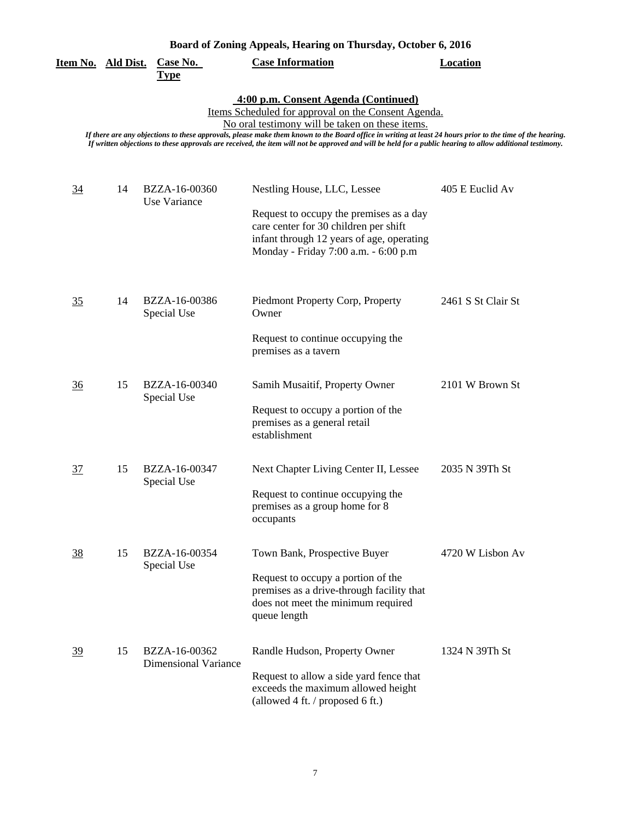| Board of Zoning Appeals, Hearing on Thursday, October 6, 2016 |  |
|---------------------------------------------------------------|--|

|                                                                                                                                                                                                                                                                                                                                                                                                                                                                          | <u>Item No. Ald Dist.</u> | <b>Case No.</b><br><b>Type</b>               | $1$ , pound, recurring on riturban,<br><b>Case Information</b>                                                                                                                                       | <b>Location</b>    |  |  |
|--------------------------------------------------------------------------------------------------------------------------------------------------------------------------------------------------------------------------------------------------------------------------------------------------------------------------------------------------------------------------------------------------------------------------------------------------------------------------|---------------------------|----------------------------------------------|------------------------------------------------------------------------------------------------------------------------------------------------------------------------------------------------------|--------------------|--|--|
| 4:00 p.m. Consent Agenda (Continued)<br>Items Scheduled for approval on the Consent Agenda.<br>No oral testimony will be taken on these items.<br>If there are any objections to these approvals, please make them known to the Board office in writing at least 24 hours prior to the time of the hearing.<br>If written objections to these approvals are received, the item will not be approved and will be held for a public hearing to allow additional testimony. |                           |                                              |                                                                                                                                                                                                      |                    |  |  |
| $\overline{34}$                                                                                                                                                                                                                                                                                                                                                                                                                                                          | 14                        | BZZA-16-00360<br>Use Variance                | Nestling House, LLC, Lessee<br>Request to occupy the premises as a day<br>care center for 30 children per shift<br>infant through 12 years of age, operating<br>Monday - Friday 7:00 a.m. - 6:00 p.m | 405 E Euclid Av    |  |  |
| 35                                                                                                                                                                                                                                                                                                                                                                                                                                                                       | 14                        | BZZA-16-00386<br>Special Use                 | Piedmont Property Corp, Property<br>Owner<br>Request to continue occupying the<br>premises as a tavern                                                                                               | 2461 S St Clair St |  |  |
| $\frac{36}{5}$                                                                                                                                                                                                                                                                                                                                                                                                                                                           | 15                        | BZZA-16-00340<br>Special Use                 | Samih Musaitif, Property Owner<br>Request to occupy a portion of the<br>premises as a general retail<br>establishment                                                                                | 2101 W Brown St    |  |  |
| 37                                                                                                                                                                                                                                                                                                                                                                                                                                                                       | 15                        | BZZA-16-00347<br>Special Use                 | Next Chapter Living Center II, Lessee<br>Request to continue occupying the<br>premises as a group home for 8<br>occupants                                                                            | 2035 N 39Th St     |  |  |
| 38                                                                                                                                                                                                                                                                                                                                                                                                                                                                       | 15                        | BZZA-16-00354<br>Special Use                 | Town Bank, Prospective Buyer<br>Request to occupy a portion of the<br>premises as a drive-through facility that<br>does not meet the minimum required<br>queue length                                | 4720 W Lisbon Av   |  |  |
| 39                                                                                                                                                                                                                                                                                                                                                                                                                                                                       | 15                        | BZZA-16-00362<br><b>Dimensional Variance</b> | Randle Hudson, Property Owner<br>Request to allow a side yard fence that<br>exceeds the maximum allowed height<br>(allowed 4 ft. / proposed 6 ft.)                                                   | 1324 N 39Th St     |  |  |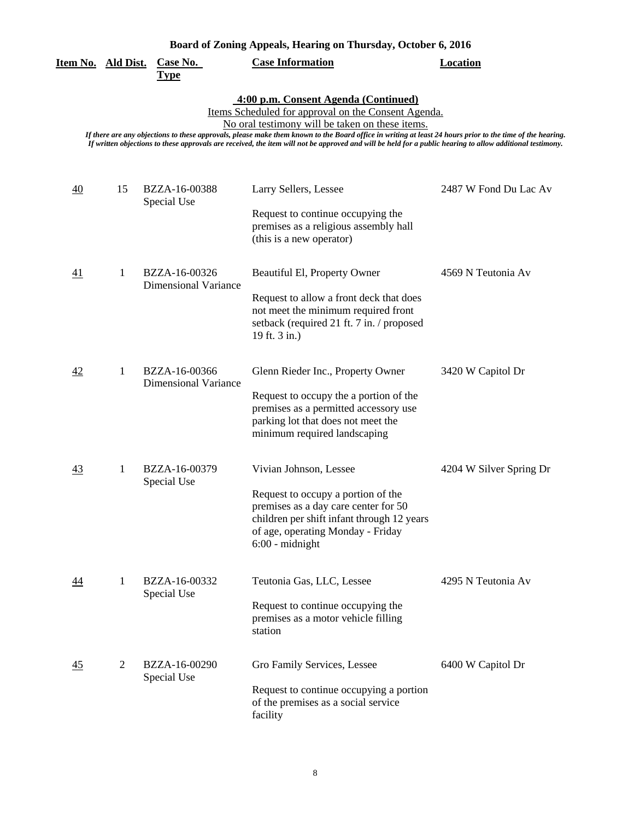|  |  | Board of Zoning Appeals, Hearing on Thursday, October 6, 2016 |  |  |
|--|--|---------------------------------------------------------------|--|--|
|  |  |                                                               |  |  |

| Board of Zoning Appeals, Hearing on Thursday, October 6, 2016                                                                                                                                                                                                                                                                                                                                                                                                            |                |                                              |                                                                                                                                                                                                              |                         |  |
|--------------------------------------------------------------------------------------------------------------------------------------------------------------------------------------------------------------------------------------------------------------------------------------------------------------------------------------------------------------------------------------------------------------------------------------------------------------------------|----------------|----------------------------------------------|--------------------------------------------------------------------------------------------------------------------------------------------------------------------------------------------------------------|-------------------------|--|
| Item No. Ald Dist.                                                                                                                                                                                                                                                                                                                                                                                                                                                       |                | Case No.<br><b>Type</b>                      | <b>Case Information</b>                                                                                                                                                                                      | <b>Location</b>         |  |
| 4:00 p.m. Consent Agenda (Continued)<br>Items Scheduled for approval on the Consent Agenda.<br>No oral testimony will be taken on these items.<br>If there are any objections to these approvals, please make them known to the Board office in writing at least 24 hours prior to the time of the hearing.<br>If written objections to these approvals are received, the item will not be approved and will be held for a public hearing to allow additional testimony. |                |                                              |                                                                                                                                                                                                              |                         |  |
| $\overline{40}$                                                                                                                                                                                                                                                                                                                                                                                                                                                          | 15             | BZZA-16-00388<br>Special Use                 | Larry Sellers, Lessee<br>Request to continue occupying the<br>premises as a religious assembly hall<br>(this is a new operator)                                                                              | 2487 W Fond Du Lac Av   |  |
| 41                                                                                                                                                                                                                                                                                                                                                                                                                                                                       | 1              | BZZA-16-00326<br><b>Dimensional Variance</b> | Beautiful El, Property Owner<br>Request to allow a front deck that does<br>not meet the minimum required front<br>setback (required 21 ft. 7 in. / proposed<br>19 ft. 3 in.)                                 | 4569 N Teutonia Av      |  |
| 42                                                                                                                                                                                                                                                                                                                                                                                                                                                                       | 1              | BZZA-16-00366<br><b>Dimensional Variance</b> | Glenn Rieder Inc., Property Owner<br>Request to occupy the a portion of the<br>premises as a permitted accessory use<br>parking lot that does not meet the<br>minimum required landscaping                   | 3420 W Capitol Dr       |  |
| 43                                                                                                                                                                                                                                                                                                                                                                                                                                                                       | 1              | BZZA-16-00379<br>Special Use                 | Vivian Johnson, Lessee<br>Request to occupy a portion of the<br>premises as a day care center for 50<br>children per shift infant through 12 years<br>of age, operating Monday - Friday<br>$6:00$ - midnight | 4204 W Silver Spring Dr |  |
| $\overline{44}$                                                                                                                                                                                                                                                                                                                                                                                                                                                          | 1              | BZZA-16-00332<br>Special Use                 | Teutonia Gas, LLC, Lessee<br>Request to continue occupying the<br>premises as a motor vehicle filling<br>station                                                                                             | 4295 N Teutonia Av      |  |
| 45                                                                                                                                                                                                                                                                                                                                                                                                                                                                       | $\overline{2}$ | BZZA-16-00290<br>Special Use                 | Gro Family Services, Lessee<br>Request to continue occupying a portion<br>of the premises as a social service<br>facility                                                                                    | 6400 W Capitol Dr       |  |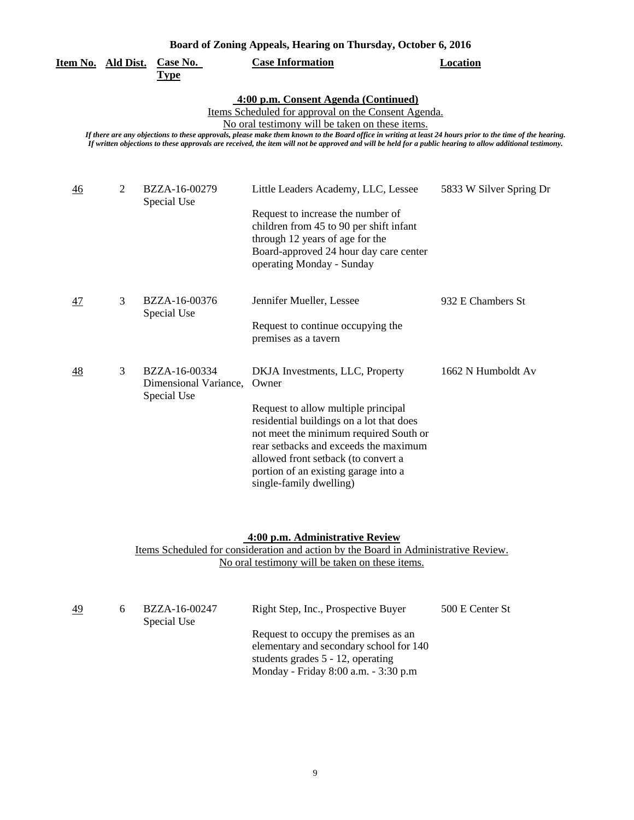| Board of Zoning Appeals, Hearing on Thursday, October 6, 2016 |  |  |
|---------------------------------------------------------------|--|--|
|---------------------------------------------------------------|--|--|

| Item No. Ald Dist. |   | Case No.<br><b>Type</b>                               | <b>Case Information</b>                                                                                                                                                                                                                                                                                                                                                                                                                                                  | <b>Location</b>         |
|--------------------|---|-------------------------------------------------------|--------------------------------------------------------------------------------------------------------------------------------------------------------------------------------------------------------------------------------------------------------------------------------------------------------------------------------------------------------------------------------------------------------------------------------------------------------------------------|-------------------------|
|                    |   |                                                       | 4:00 p.m. Consent Agenda (Continued)<br>Items Scheduled for approval on the Consent Agenda.<br>No oral testimony will be taken on these items.<br>If there are any objections to these approvals, please make them known to the Board office in writing at least 24 hours prior to the time of the hearing.<br>If written objections to these approvals are received, the item will not be approved and will be held for a public hearing to allow additional testimony. |                         |
| 46                 | 2 | BZZA-16-00279<br>Special Use                          | Little Leaders Academy, LLC, Lessee<br>Request to increase the number of<br>children from 45 to 90 per shift infant<br>through 12 years of age for the<br>Board-approved 24 hour day care center<br>operating Monday - Sunday                                                                                                                                                                                                                                            | 5833 W Silver Spring Dr |
| 47                 | 3 | BZZA-16-00376<br>Special Use                          | Jennifer Mueller, Lessee<br>Request to continue occupying the<br>premises as a tavern                                                                                                                                                                                                                                                                                                                                                                                    | 932 E Chambers St       |
| 48                 | 3 | BZZA-16-00334<br>Dimensional Variance,<br>Special Use | DKJA Investments, LLC, Property<br>Owner<br>Request to allow multiple principal<br>residential buildings on a lot that does<br>not meet the minimum required South or<br>rear setbacks and exceeds the maximum<br>allowed front setback (to convert a<br>portion of an existing garage into a<br>single-family dwelling)                                                                                                                                                 | 1662 N Humboldt Av      |

#### **4:00 p.m. Administrative Review**

Items Scheduled for consideration and action by the Board in Administrative Review. No oral testimony will be taken on these items.

| <u>49</u> | BZZA-16-00247<br>Special Use | Right Step, Inc., Prospective Buyer                                                                                                                             | 500 E Center St |
|-----------|------------------------------|-----------------------------------------------------------------------------------------------------------------------------------------------------------------|-----------------|
|           |                              | Request to occupy the premises as an<br>elementary and secondary school for 140<br>students grades $5 - 12$ , operating<br>Monday - Friday 8:00 a.m. - 3:30 p.m |                 |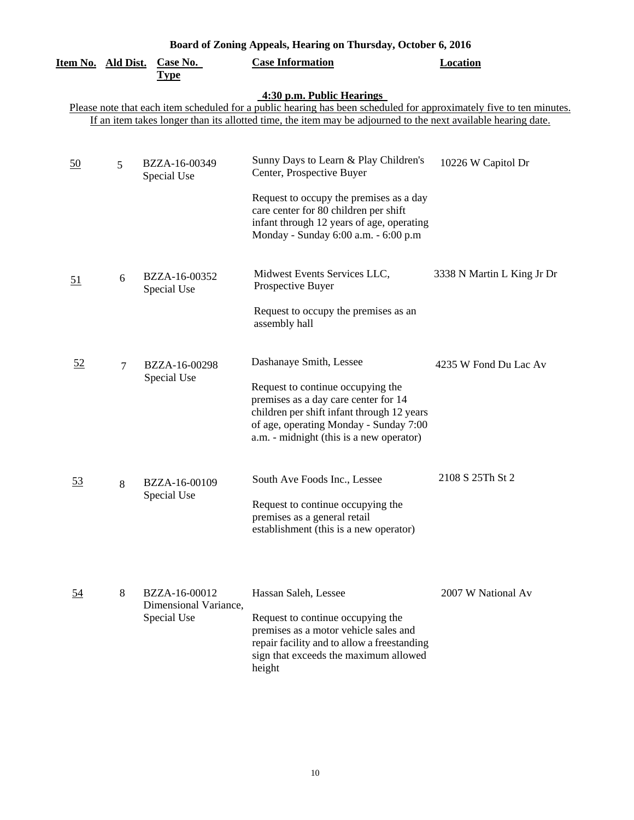| Board of Zoning Appeals, Hearing on Thursday, October 6, 2016 |        |                                      |                                                                                                                                                                                                                                                                   |                            |  |
|---------------------------------------------------------------|--------|--------------------------------------|-------------------------------------------------------------------------------------------------------------------------------------------------------------------------------------------------------------------------------------------------------------------|----------------------------|--|
| <u>Item No. Ald Dist.</u>                                     |        | Case No.<br><b>Type</b>              | <b>Case Information</b>                                                                                                                                                                                                                                           | <b>Location</b>            |  |
|                                                               |        |                                      | 4:30 p.m. Public Hearings<br>Please note that each item scheduled for a public hearing has been scheduled for approximately five to ten minutes.<br>If an item takes longer than its allotted time, the item may be adjourned to the next available hearing date. |                            |  |
|                                                               |        |                                      |                                                                                                                                                                                                                                                                   |                            |  |
| $\underline{50}$                                              | 5      | BZZA-16-00349<br>Special Use         | Sunny Days to Learn & Play Children's<br>Center, Prospective Buyer                                                                                                                                                                                                | 10226 W Capitol Dr         |  |
|                                                               |        |                                      | Request to occupy the premises as a day<br>care center for 80 children per shift<br>infant through 12 years of age, operating<br>Monday - Sunday 6:00 a.m. - 6:00 p.m                                                                                             |                            |  |
| 51                                                            | 6      | BZZA-16-00352<br>Special Use         | Midwest Events Services LLC,<br>Prospective Buyer                                                                                                                                                                                                                 | 3338 N Martin L King Jr Dr |  |
|                                                               |        |                                      | Request to occupy the premises as an<br>assembly hall                                                                                                                                                                                                             |                            |  |
| 52                                                            | $\tau$ | BZZA-16-00298<br>Special Use         | Dashanaye Smith, Lessee                                                                                                                                                                                                                                           | 4235 W Fond Du Lac Av      |  |
|                                                               |        |                                      | Request to continue occupying the<br>premises as a day care center for 14<br>children per shift infant through 12 years<br>of age, operating Monday - Sunday 7:00<br>a.m. - midnight (this is a new operator)                                                     |                            |  |
| <u>53</u>                                                     | 8      | BZZA-16-00109<br>Special Use         | South Ave Foods Inc., Lessee                                                                                                                                                                                                                                      | 2108 S 25Th St 2           |  |
|                                                               |        |                                      | Request to continue occupying the<br>premises as a general retail<br>establishment (this is a new operator)                                                                                                                                                       |                            |  |
| <u>54</u>                                                     | 8      | BZZA-16-00012                        | Hassan Saleh, Lessee                                                                                                                                                                                                                                              | 2007 W National Av         |  |
|                                                               |        | Dimensional Variance,<br>Special Use | Request to continue occupying the<br>premises as a motor vehicle sales and<br>repair facility and to allow a freestanding<br>sign that exceeds the maximum allowed<br>height                                                                                      |                            |  |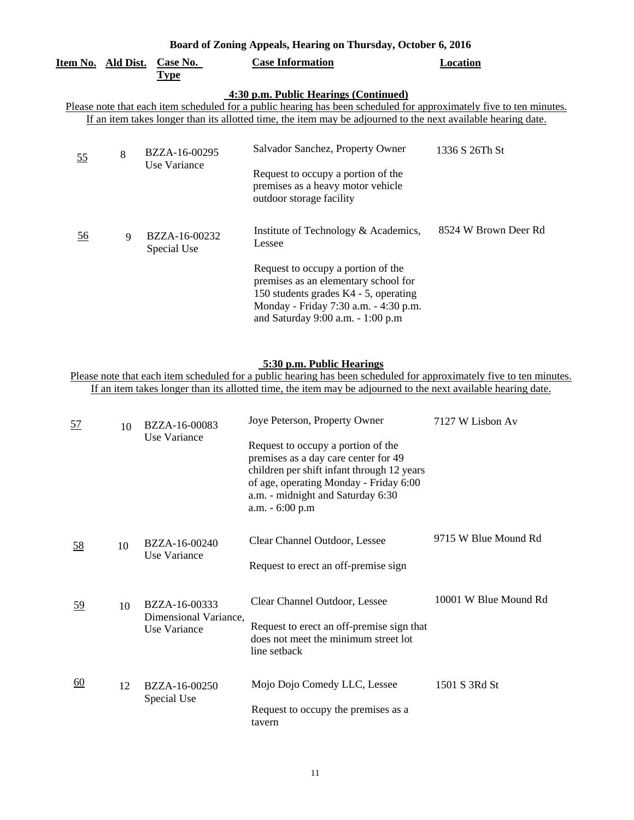## **Board of Zoning Appeals, Hearing on Thursday, October 6, 2016**

| <u>Item No. Ald Dist.</u>                                                                                                                                                                                                                                                     |   | Case No.<br><b>Type</b>       | <b>Case Information</b>                                                                                                                                                                                                                             | <b>Location</b>      |  |
|-------------------------------------------------------------------------------------------------------------------------------------------------------------------------------------------------------------------------------------------------------------------------------|---|-------------------------------|-----------------------------------------------------------------------------------------------------------------------------------------------------------------------------------------------------------------------------------------------------|----------------------|--|
| 4:30 p.m. Public Hearings (Continued)<br>Please note that each item scheduled for a public hearing has been scheduled for approximately five to ten minutes.<br>If an item takes longer than its allotted time, the item may be adjourned to the next available hearing date. |   |                               |                                                                                                                                                                                                                                                     |                      |  |
| 55                                                                                                                                                                                                                                                                            | 8 | BZZA-16-00295<br>Use Variance | Salvador Sanchez, Property Owner<br>Request to occupy a portion of the<br>premises as a heavy motor vehicle<br>outdoor storage facility                                                                                                             | 1336 S 26Th St       |  |
| <u>56</u>                                                                                                                                                                                                                                                                     | 9 | BZZA-16-00232<br>Special Use  | Institute of Technology & Academics,<br>Lessee<br>Request to occupy a portion of the<br>premises as an elementary school for<br>150 students grades K4 - 5, operating<br>Monday - Friday 7:30 a.m. - 4:30 p.m.<br>and Saturday 9:00 a.m. - 1:00 p.m | 8524 W Brown Deer Rd |  |

## **5:30 p.m. Public Hearings**

Please note that each item scheduled for a public hearing has been scheduled for approximately five to ten minutes. If an item takes longer than its allotted time, the item may be adjourned to the next available hearing date.

| <u>57</u> | 10 | BZZA-16-00083                         | Joye Peterson, Property Owner                                                                                                                                                                                              | 7127 W Lisbon Av      |
|-----------|----|---------------------------------------|----------------------------------------------------------------------------------------------------------------------------------------------------------------------------------------------------------------------------|-----------------------|
|           |    | Use Variance                          | Request to occupy a portion of the<br>premises as a day care center for 49<br>children per shift infant through 12 years<br>of age, operating Monday - Friday 6:00<br>a.m. - midnight and Saturday 6:30<br>a.m. - 6:00 p.m |                       |
| <u>58</u> | 10 | BZZA-16-00240                         | Clear Channel Outdoor, Lessee                                                                                                                                                                                              | 9715 W Blue Mound Rd  |
|           |    | Use Variance                          | Request to erect an off-premise sign                                                                                                                                                                                       |                       |
| <u>59</u> | 10 | BZZA-16-00333                         | Clear Channel Outdoor, Lessee                                                                                                                                                                                              | 10001 W Blue Mound Rd |
|           |    | Dimensional Variance,<br>Use Variance | Request to erect an off-premise sign that<br>does not meet the minimum street lot<br>line setback                                                                                                                          |                       |
| 60        | 12 | BZZA-16-00250                         | Mojo Dojo Comedy LLC, Lessee                                                                                                                                                                                               | 1501 S 3Rd St         |
|           |    | Special Use                           | Request to occupy the premises as a<br>tavern                                                                                                                                                                              |                       |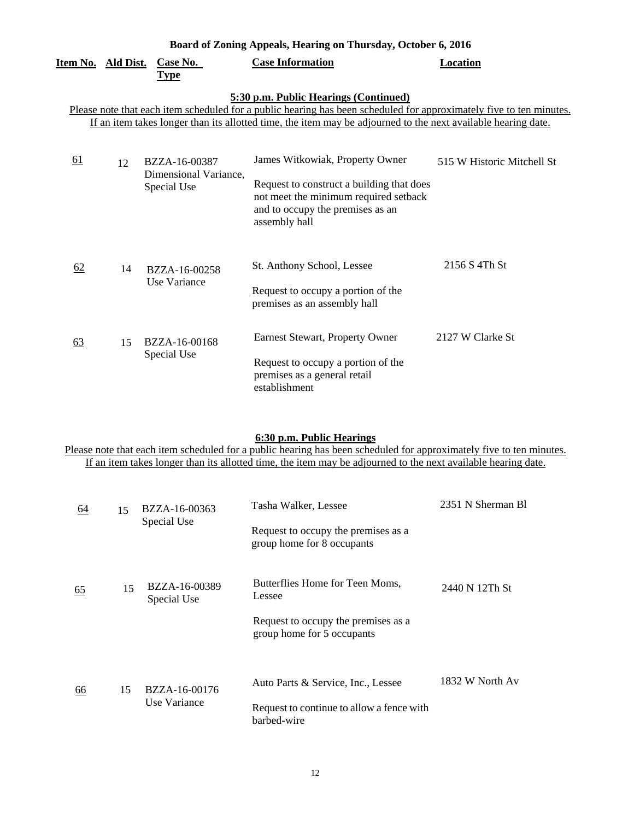| Board of Zoning Appeals, Hearing on Thursday, October 6, 2016 |  |  |  |  |
|---------------------------------------------------------------|--|--|--|--|
|---------------------------------------------------------------|--|--|--|--|

| <u>Item No. Ald Dist.</u> |    | Case No.                             | <b>Case Information</b>                                                                                             | <b>Location</b>            |
|---------------------------|----|--------------------------------------|---------------------------------------------------------------------------------------------------------------------|----------------------------|
|                           |    | <b>Type</b>                          |                                                                                                                     |                            |
|                           |    |                                      | 5:30 p.m. Public Hearings (Continued)                                                                               |                            |
|                           |    |                                      | Please note that each item scheduled for a public hearing has been scheduled for approximately five to ten minutes. |                            |
|                           |    |                                      | If an item takes longer than its allotted time, the item may be adjourned to the next available hearing date.       |                            |
|                           |    |                                      |                                                                                                                     |                            |
| <u>61</u>                 | 12 | BZZA-16-00387                        | James Witkowiak, Property Owner                                                                                     | 515 W Historic Mitchell St |
|                           |    | Dimensional Variance,<br>Special Use | Request to construct a building that does<br>not meet the minimum required setback                                  |                            |
|                           |    |                                      | and to occupy the premises as an<br>assembly hall                                                                   |                            |
|                           |    |                                      |                                                                                                                     |                            |
|                           |    |                                      |                                                                                                                     |                            |
| <u>62</u>                 | 14 | BZZA-16-00258                        | St. Anthony School, Lessee                                                                                          | 2156 S 4Th St              |
|                           |    | Use Variance                         | Request to occupy a portion of the                                                                                  |                            |
|                           |    |                                      | premises as an assembly hall                                                                                        |                            |
|                           |    |                                      |                                                                                                                     |                            |
|                           |    |                                      | Earnest Stewart, Property Owner                                                                                     | 2127 W Clarke St           |
| 63                        | 15 | BZZA-16-00168                        |                                                                                                                     |                            |
|                           |    | Special Use                          | Request to occupy a portion of the                                                                                  |                            |
|                           |    |                                      | premises as a general retail                                                                                        |                            |
|                           |    |                                      | establishment                                                                                                       |                            |

#### **6:30 p.m. Public Hearings**

Please note that each item scheduled for a public hearing has been scheduled for approximately five to ten minutes. If an item takes longer than its allotted time, the item may be adjourned to the next available hearing date.

| 64        | 15 | BZZA-16-00363                | Tasha Walker, Lessee                                              | 2351 N Sherman B1 |
|-----------|----|------------------------------|-------------------------------------------------------------------|-------------------|
|           |    | Special Use                  | Request to occupy the premises as a<br>group home for 8 occupants |                   |
| <u>65</u> | 15 | BZZA-16-00389<br>Special Use | Butterflies Home for Teen Moms,<br>Lessee                         | 2440 N 12Th St    |
|           |    |                              | Request to occupy the premises as a<br>group home for 5 occupants |                   |
| 66        | 15 | BZZA-16-00176                | Auto Parts & Service, Inc., Lessee                                | 1832 W North Av   |
|           |    | Use Variance                 | Request to continue to allow a fence with<br>barbed-wire          |                   |